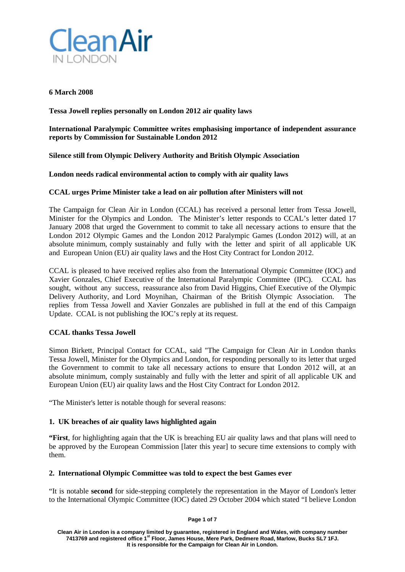

# **6 March 2008**

**Tessa Jowell replies personally on London 2012 air quality laws**

**International Paralympic Committee writes emphasising importance of independent assurance reports by Commission for Sustainable London 2012**

# **Silence still from Olympic Delivery Authority and British Olympic Association**

# **London needs radical environmental action to comply with air quality laws**

# **CCAL urges Prime Minister take a lead on air pollution after Ministers will not**

The Campaign for Clean Air in London (CCAL) has received a personal letter from Tessa Jowell, Minister for the Olympics and London. The Minister's letter responds to CCAL's letter dated 17 January 2008 that urged the Government to commit to take all necessary actions to ensure that the London 2012 Olympic Games and the London 2012 Paralympic Games (London 2012) will, at an absolute minimum, comply sustainably and fully with the letter and spirit of all applicable UK and European Union (EU) air quality laws and the Host City Contract for London 2012.

CCAL is pleased to have received replies also from the International Olympic Committee (IOC) and Xavier Gonzales, Chief Executive of the International Paralympic Committee (IPC). CCAL has sought, without any success, reassurance also from David Higgins, Chief Executive of the Olympic Delivery Authority, and Lord Moynihan, Chairman of the British Olympic Association. The replies from Tessa Jowell and Xavier Gonzales are published in full at the end of this Campaign Update. CCAL is not publishing the IOC's reply at its request.

# **CCAL thanks Tessa Jowell**

Simon Birkett, Principal Contact for CCAL, said "The Campaign for Clean Air in London thanks Tessa Jowell, Minister for the Olympics and London, for responding personally to its letter that urged the Government to commit to take all necessary actions to ensure that London 2012 will, at an absolute minimum, comply sustainably and fully with the letter and spirit of all applicable UK and European Union (EU) air quality laws and the Host City Contract for London 2012.

"The Minister's letter is notable though for several reasons:

# **1. UK breaches of air quality laws highlighted again**

**"First**, for highlighting again that the UK is breaching EU air quality laws and that plans will need to be approved by the European Commission [later this year] to secure time extensions to comply with them.

# **2. International Olympic Committee was told to expect the best Games ever**

"It is notable **second** for side-stepping completely the representation in the Mayor of London's letter to the International Olympic Committee (IOC) dated 29 October 2004 which stated "I believe London

**Page 1 of 7**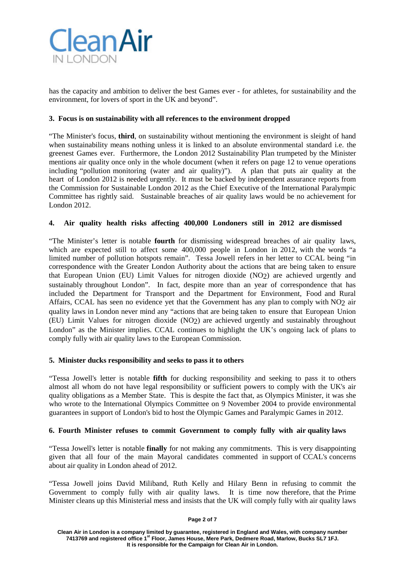

has the capacity and ambition to deliver the best Games ever - for athletes, for sustainability and the environment, for lovers of sport in the UK and beyond".

# **3. Focus is on sustainability with all references to the environment dropped**

"The Minister's focus, **third**, on sustainability without mentioning the environment is sleight of hand when sustainability means nothing unless it is linked to an absolute environmental standard i.e. the greenest Games ever. Furthermore, the London 2012 Sustainability Plan trumpeted by the Minister mentions air quality once only in the whole document (when it refers on page 12 to venue operations including "pollution monitoring (water and air quality)"). A plan that puts air quality at the heart of London 2012 is needed urgently. It must be backed by independent assurance reports from the Commission for Sustainable London 2012 as the Chief Executive of the International Paralympic Committee has rightly said. Sustainable breaches of air quality laws would be no achievement for London 2012.

# **4. Air quality health risks affecting 400,000 Londoners still in 2012 are dismissed**

"The Minister's letter is notable **fourth** for dismissing widespread breaches of air quality laws, which are expected still to affect some 400,000 people in London in 2012, with the words "a limited number of pollution hotspots remain". Tessa Jowell refers in her letter to CCAL being "in correspondence with the Greater London Authority about the actions that are being taken to ensure that European Union (EU) Limit Values for nitrogen dioxide (NO2) are achieved urgently and sustainably throughout London". In fact, despite more than an year of correspondence that has included the Department for Transport and the Department for Environment, Food and Rural Affairs, CCAL has seen no evidence yet that the Government has any plan to comply with NO2 air quality laws in London never mind any "actions that are being taken to ensure that European Union (EU) Limit Values for nitrogen dioxide (NO2) are achieved urgently and sustainably throughout London" as the Minister implies. CCAL continues to highlight the UK's ongoing lack of plans to comply fully with air quality laws to the European Commission.

# **5. Minister ducks responsibility and seeks to pass it to others**

"Tessa Jowell's letter is notable **fifth** for ducking responsibility and seeking to pass it to others almost all whom do not have legal responsibility or sufficient powers to comply with the UK's air quality obligations as a Member State. This is despite the fact that, as Olympics Minister, it was she who wrote to the International Olympics Committee on 9 November 2004 to provide environmental guarantees in support of London's bid to host the Olympic Games and Paralympic Games in 2012.

# **6. Fourth Minister refuses to commit Government to comply fully with air quality laws**

"Tessa Jowell's letter is notable **finally** for not making any commitments. This is very disappointing given that all four of the main Mayoral candidates commented in support of CCAL's concerns about air quality in London ahead of 2012.

"Tessa Jowell joins David Miliband, Ruth Kelly and Hilary Benn in refusing to commit the Government to comply fully with air quality laws. It is time now therefore, that the Prime Minister cleans up this Ministerial mess and insists that the UK will comply fully with air quality laws

#### **Page 2 of 7**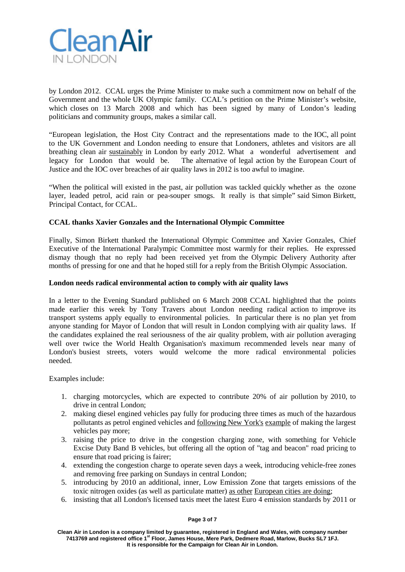

by London 2012. CCAL urges the Prime Minister to make such a commitment now on behalf of the Government and the whole UK Olympic family. CCAL's petition on the Prime Minister's website, which closes on 13 March 2008 and which has been signed by many of London's leading politicians and community groups, makes a similar call.

"European legislation, the Host City Contract and the representations made to the IOC, all point to the UK Government and London needing to ensure that Londoners, athletes and visitors are all breathing clean air sustainably in London by early 2012. What a wonderful advertisement and legacy for London that would be. The alternative of legal action by the European Court of Justice and the IOC over breaches of air quality laws in 2012 is too awful to imagine.

"When the political will existed in the past, air pollution was tackled quickly whether as the ozone layer, leaded petrol, acid rain or pea-souper smogs. It really is that simple" said Simon Birkett, Principal Contact, for CCAL.

# **CCAL thanks Xavier Gonzales and the International Olympic Committee**

Finally, Simon Birkett thanked the International Olympic Committee and Xavier Gonzales, Chief Executive of the International Paralympic Committee most warmly for their replies. He expressed dismay though that no reply had been received yet from the Olympic Delivery Authority after months of pressing for one and that he hoped still for a reply from the British Olympic Association.

#### **London needs radical environmental action to comply with air quality laws**

In a letter to the Evening Standard published on 6 March 2008 CCAL highlighted that the points made earlier this week by Tony Travers about London needing radical action to improve its transport systems apply equally to environmental policies. In particular there is no plan yet from anyone standing for Mayor of London that will result in London complying with air quality laws. If the candidates explained the real seriousness of the air quality problem, with air pollution averaging well over twice the World Health Organisation's maximum recommended levels near many of London's busiest streets, voters would welcome the more radical environmental policies needed.

Examples include:

- 1. charging motorcycles, which are expected to contribute 20% of air pollution by 2010, to drive in central London;
- 2. making diesel engined vehicles pay fully for producing three times as much of the hazardous pollutants as petrol engined vehicles and following New York's example of making the largest vehicles pay more;
- 3. raising the price to drive in the congestion charging zone, with something for Vehicle Excise Duty Band B vehicles, but offering all the option of "tag and beacon" road pricing to ensure that road pricing is fairer;
- 4. extending the congestion charge to operate seven days a week, introducing vehicle-free zones and removing free parking on Sundays in central London;
- 5. introducing by 2010 an additional, inner, Low Emission Zone that targets emissions of the toxic nitrogen oxides (as well as particulate matter) as other European cities are doing;
- 6. insisting that all London's licensed taxis meet the latest Euro 4 emission standards by 2011 or

**Page 3 of 7**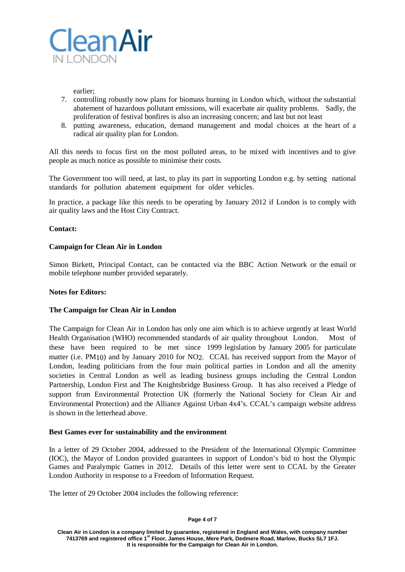

earlier;

- 7. controlling robustly now plans for biomass burning in London which, without the substantial abatement of hazardous pollutant emissions, will exacerbate air quality problems. Sadly, the proliferation of festival bonfires is also an increasing concern; and last but not least
- 8. putting awareness, education, demand management and modal choices at the heart of a radical air quality plan for London.

All this needs to focus first on the most polluted areas, to be mixed with incentives and to give people as much notice as possible to minimise their costs.

The Government too will need, at last, to play its part in supporting London e.g. by setting national standards for pollution abatement equipment for older vehicles.

In practice, a package like this needs to be operating by January 2012 if London is to comply with air quality laws and the Host City Contract.

# **Contact:**

# **Campaign for Clean Air in London**

Simon Birkett, Principal Contact, can be contacted via the BBC Action Network or the email or mobile telephone number provided separately.

# **Notes for Editors:**

# **The Campaign for Clean Air in London**

The Campaign for Clean Air in London has only one aim which is to achieve urgently at least World Health Organisation (WHO) recommended standards of air quality throughout London. Most of these have been required to be met since 1999 legislation by January 2005 for particulate matter (i.e. PM<sub>10</sub>) and by January 2010 for NO<sub>2</sub>. CCAL has received support from the Mayor of London, leading politicians from the four main political parties in London and all the amenity societies in Central London as well as leading business groups including the Central London Partnership, London First and The Knightsbridge Business Group. It has also received a Pledge of support from Environmental Protection UK (formerly the National Society for Clean Air and Environmental Protection) and the Alliance Against Urban 4x4's. CCAL's campaign website address is shown in the letterhead above.

# **Best Games ever for sustainability and the environment**

In a letter of 29 October 2004, addressed to the President of the International Olympic Committee (IOC), the Mayor of London provided guarantees in support of London's bid to host the Olympic Games and Paralympic Games in 2012. Details of this letter were sent to CCAL by the Greater London Authority in response to a Freedom of Information Request.

The letter of 29 October 2004 includes the following reference:

#### **Page 4 of 7**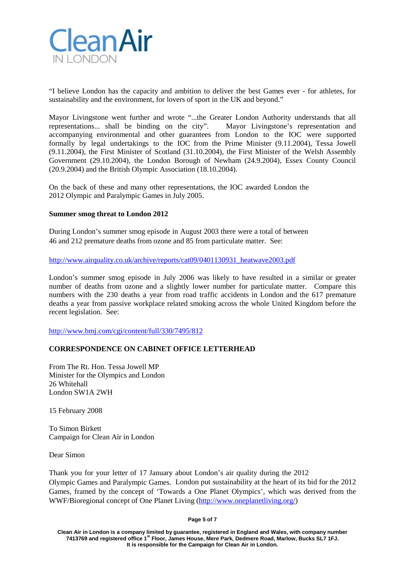

"I believe London has the capacity and ambition to deliver the best Games ever - for athletes, for sustainability and the environment, for lovers of sport in the UK and beyond."

Mayor Livingstone went further and wrote "...the Greater London Authority understands that all representations... shall be binding on the city". Mayor Livingstone's representation and accompanying environmental and other guarantees from London to the IOC were supported formally by legal undertakings to the IOC from the Prime Minister (9.11.2004), Tessa Jowell (9.11.2004), the First Minister of Scotland (31.10.2004), the First Minister of the Welsh Assembly Government (29.10.2004), the London Borough of Newham (24.9.2004), Essex County Council (20.9.2004) and the British Olympic Association (18.10.2004).

On the back of these and many other representations, the IOC awarded London the 2012 Olympic and Paralympic Games in July 2005.

#### **Summer smog threat to London 2012**

During London's summer smog episode in August 2003 there were a total of between 46 and 212 premature deaths from ozone and 85 from particulate matter. See:

[http://www.airquality.co.uk/archive/reports/cat09/0401130931\\_heatwave2003.pdf](http://www.airquality.co.uk/archive/reports/cat09/0401130931_heatwave2003.pdf)

London's summer smog episode in July 2006 was likely to have resulted in a similar or greater number of deaths from ozone and a slightly lower number for particulate matter. Compare this numbers with the 230 deaths a year from road traffic accidents in London and the 617 premature deaths a year from passive workplace related smoking across the whole United Kingdom before the recent legislation. See:

<http://www.bmj.com/cgi/content/full/330/7495/812>

# **CORRESPONDENCE ON CABINET OFFICE LETTERHEAD**

From The Rt. Hon. Tessa Jowell MP Minister for the Olympics and London 26 Whitehall London SW1A 2WH

15 February 2008

To Simon Birkett Campaign for Clean Air in London

Dear Simon

Thank you for your letter of 17 January about London's air quality during the 2012 Olympic Games and Paralympic Games. London put sustainability at the heart of its bid for the 2012 Games, framed by the concept of 'Towards a One Planet Olympics', which was derived from the WWF/Bioregional concept of One Planet Living [\(http://www.oneplanetliving.org/\)](http://www.oneplanetliving.org/)

**Page 5 of 7**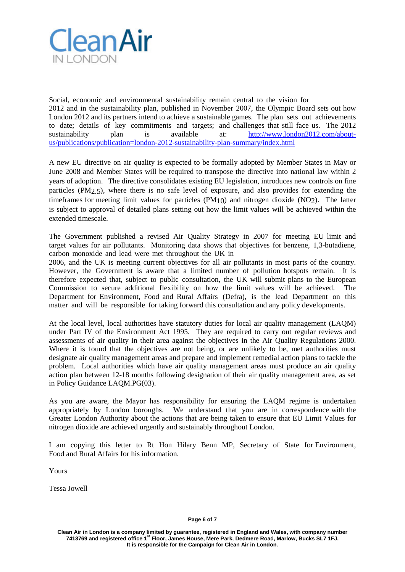

Social, economic and environmental sustainability remain central to the vision for 2012 and in the sustainability plan, published in November 2007, the Olympic Board sets out how London 2012 and its partners intend to achieve a sustainable games. The plan sets out achievements to date; details of key commitments and targets; and challenges that still face us. The 2012 sustainability plan is available at: [http://www.london2012.com/about](http://www.london2012.com/about-us/publications/publication=london-2012-sustainability-plan-summary/index.html)[us/publications/publication=london-2012-sustainability-plan-summary/index.html](http://www.london2012.com/about-us/publications/publication=london-2012-sustainability-plan-summary/index.html)

A new EU directive on air quality is expected to be formally adopted by Member States in May or June 2008 and Member States will be required to transpose the directive into national law within 2 years of adoption. The directive consolidates existing EU legislation, introduces new controls on fine particles (PM<sub>2.5</sub>), where there is no safe level of exposure, and also provides for extending the timeframes for meeting limit values for particles (PM10) and nitrogen dioxide (NO2). The latter is subject to approval of detailed plans setting out how the limit values will be achieved within the extended timescale.

The Government published a revised Air Quality Strategy in 2007 for meeting EU limit and target values for air pollutants. Monitoring data shows that objectives for benzene, 1,3-butadiene, carbon monoxide and lead were met throughout the UK in

2006, and the UK is meeting current objectives for all air pollutants in most parts of the country. However, the Government is aware that a limited number of pollution hotspots remain. It is therefore expected that, subject to public consultation, the UK will submit plans to the European Commission to secure additional flexibility on how the limit values will be achieved. The Department for Environment, Food and Rural Affairs (Defra), is the lead Department on this matter and will be responsible for taking forward this consultation and any policy developments.

At the local level, local authorities have statutory duties for local air quality management (LAQM) under Part IV of the Environment Act 1995. They are required to carry out regular reviews and assessments of air quality in their area against the objectives in the Air Quality Regulations 2000. Where it is found that the objectives are not being, or are unlikely to be, met authorities must designate air quality management areas and prepare and implement remedial action plans to tackle the problem. Local authorities which have air quality management areas must produce an air quality action plan between 12-18 months following designation of their air quality management area, as set in Policy Guidance LAQM.PG(03).

As you are aware, the Mayor has responsibility for ensuring the LAQM regime is undertaken appropriately by London boroughs. We understand that you are in correspondence with the Greater London Authority about the actions that are being taken to ensure that EU Limit Values for nitrogen dioxide are achieved urgently and sustainably throughout London.

I am copying this letter to Rt Hon Hilary Benn MP, Secretary of State for Environment, Food and Rural Affairs for his information.

Yours

Tessa Jowell